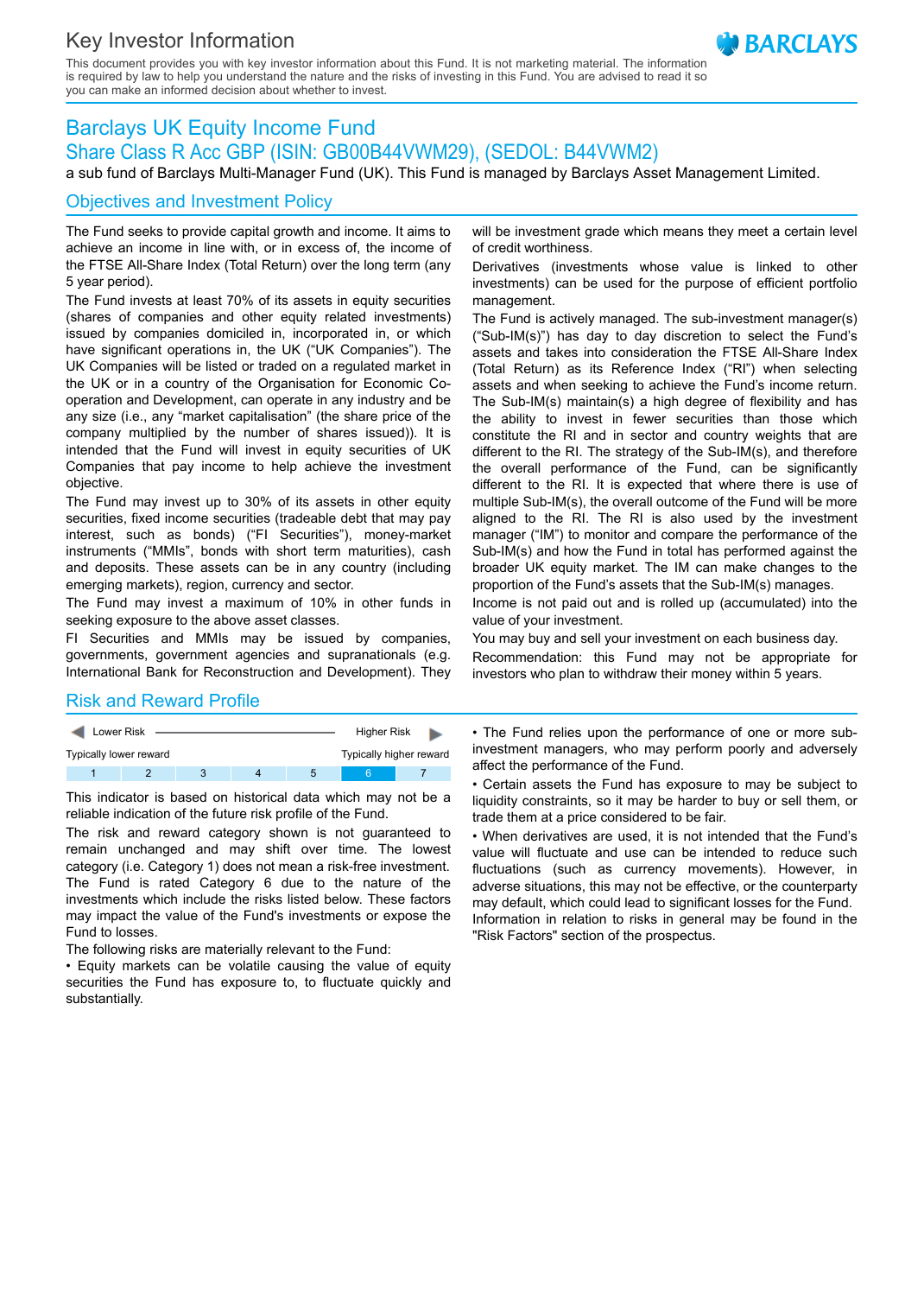# Key Investor Information

This document provides you with key investor information about this Fund. It is not marketing material. The information is required by law to help you understand the nature and the risks of investing in this Fund. You are advised to read it so you can make an informed decision about whether to invest.

# Barclays UK Equity Income Fund Share Class R Acc GBP (ISIN: GB00B44VWM29), (SEDOL: B44VWM2)

a sub fund of Barclays Multi-Manager Fund (UK). This Fund is managed by Barclays Asset Management Limited.

## Objectives and Investment Policy

The Fund seeks to provide capital growth and income. It aims to achieve an income in line with, or in excess of, the income of the FTSE All-Share Index (Total Return) over the long term (any 5 year period).

The Fund invests at least 70% of its assets in equity securities (shares of companies and other equity related investments) issued by companies domiciled in, incorporated in, or which have significant operations in, the UK ("UK Companies"). The UK Companies will be listed or traded on a regulated market in the UK or in a country of the Organisation for Economic Cooperation and Development, can operate in any industry and be any size (i.e., any "market capitalisation" (the share price of the company multiplied by the number of shares issued)). It is intended that the Fund will invest in equity securities of UK Companies that pay income to help achieve the investment objective.

The Fund may invest up to 30% of its assets in other equity securities, fixed income securities (tradeable debt that may pay interest, such as bonds) ("FI Securities"), money-market instruments ("MMIs", bonds with short term maturities), cash and deposits. These assets can be in any country (including emerging markets), region, currency and sector.

The Fund may invest a maximum of 10% in other funds in seeking exposure to the above asset classes.

FI Securities and MMIs may be issued by companies, governments, government agencies and supranationals (e.g. International Bank for Reconstruction and Development). They

will be investment grade which means they meet a certain level of credit worthiness.

**BARCIAYS** 

Derivatives (investments whose value is linked to other investments) can be used for the purpose of efficient portfolio management.

The Fund is actively managed. The sub-investment manager(s) ("Sub-IM(s)") has day to day discretion to select the Fund's assets and takes into consideration the FTSE All-Share Index (Total Return) as its Reference Index ("RI") when selecting assets and when seeking to achieve the Fund's income return. The Sub-IM(s) maintain(s) a high degree of flexibility and has the ability to invest in fewer securities than those which constitute the RI and in sector and country weights that are different to the RI. The strategy of the Sub-IM(s), and therefore the overall performance of the Fund, can be significantly different to the RI. It is expected that where there is use of multiple Sub-IM(s), the overall outcome of the Fund will be more aligned to the RI. The RI is also used by the investment manager ("IM") to monitor and compare the performance of the Sub-IM(s) and how the Fund in total has performed against the broader UK equity market. The IM can make changes to the proportion of the Fund's assets that the Sub-IM(s) manages.

Income is not paid out and is rolled up (accumulated) into the value of your investment.

You may buy and sell your investment on each business day. Recommendation: this Fund may not be appropriate for investors who plan to withdraw their money within 5 years.

#### Risk and Reward Profile

| Lower Risk             |  |  | Higher Risk |  |                         |  |  |
|------------------------|--|--|-------------|--|-------------------------|--|--|
| Typically lower reward |  |  |             |  | Typically higher reward |  |  |
|                        |  |  |             |  |                         |  |  |

This indicator is based on historical data which may not be a reliable indication of the future risk profile of the Fund.

The risk and reward category shown is not guaranteed to remain unchanged and may shift over time. The lowest category (i.e. Category 1) does not mean a risk-free investment. The Fund is rated Category 6 due to the nature of the investments which include the risks listed below. These factors may impact the value of the Fund's investments or expose the Fund to losses.

The following risks are materially relevant to the Fund:

• Equity markets can be volatile causing the value of equity securities the Fund has exposure to, to fluctuate quickly and substantially.

• The Fund relies upon the performance of one or more subinvestment managers, who may perform poorly and adversely affect the performance of the Fund.

• Certain assets the Fund has exposure to may be subject to liquidity constraints, so it may be harder to buy or sell them, or trade them at a price considered to be fair.

• When derivatives are used, it is not intended that the Fund's value will fluctuate and use can be intended to reduce such fluctuations (such as currency movements). However, in adverse situations, this may not be effective, or the counterparty may default, which could lead to significant losses for the Fund. Information in relation to risks in general may be found in the "Risk Factors" section of the prospectus.